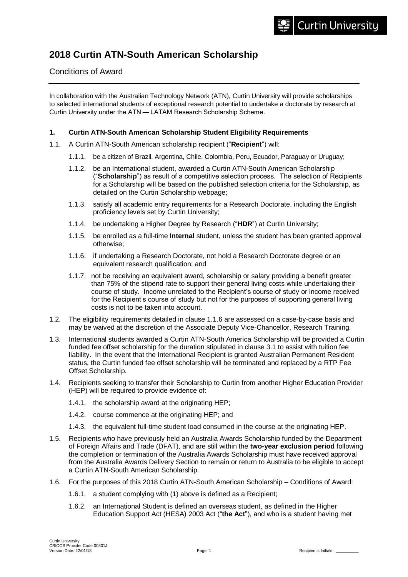### **2018 Curtin ATN-South American Scholarship**

#### Conditions of Award

In collaboration with the Australian Technology Network (ATN), Curtin University will provide scholarships to selected international students of exceptional research potential to undertake a doctorate by research at Curtin University under the ATN — LATAM Research Scholarship Scheme.

#### **1. Curtin ATN-South American Scholarship Student Eligibility Requirements**

- 1.1. A Curtin ATN-South American scholarship recipient ("**Recipient**") will:
	- 1.1.1. be a citizen of Brazil, Argentina, Chile, Colombia, Peru, Ecuador, Paraguay or Uruguay;
	- 1.1.2. be an International student, awarded a Curtin ATN-South American Scholarship ("**Scholarship**") as result of a competitive selection process. The selection of Recipients for a Scholarship will be based on the published selection criteria for the Scholarship, as detailed on the Curtin Scholarship webpage;
	- 1.1.3. satisfy all academic entry requirements for a Research Doctorate, including the English proficiency levels set by Curtin University;
	- 1.1.4. be undertaking a Higher Degree by Research ("**HDR**") at Curtin University;
	- 1.1.5. be enrolled as a full-time **Internal** student, unless the student has been granted approval otherwise;
	- 1.1.6. if undertaking a Research Doctorate, not hold a Research Doctorate degree or an equivalent research qualification; and
	- 1.1.7. not be receiving an equivalent award, scholarship or salary providing a benefit greater than 75% of the stipend rate to support their general living costs while undertaking their course of study. Income unrelated to the Recipient's course of study or income received for the Recipient's course of study but not for the purposes of supporting general living costs is not to be taken into account.
- 1.2. The eligibility requirements detailed in clause 1.1.6 are assessed on a case-by-case basis and may be waived at the discretion of the Associate Deputy Vice-Chancellor, Research Training.
- 1.3. International students awarded a Curtin ATN-South America Scholarship will be provided a Curtin funded fee offset scholarship for the duration stipulated in clause 3.1 to assist with tuition fee liability. In the event that the International Recipient is granted Australian Permanent Resident status, the Curtin funded fee offset scholarship will be terminated and replaced by a RTP Fee Offset Scholarship.
- 1.4. Recipients seeking to transfer their Scholarship to Curtin from another Higher Education Provider (HEP) will be required to provide evidence of:
	- 1.4.1. the scholarship award at the originating HEP;
	- 1.4.2. course commence at the originating HEP; and
	- 1.4.3. the equivalent full-time student load consumed in the course at the originating HEP.
- 1.5. Recipients who have previously held an Australia Awards Scholarship funded by the Department of Foreign Affairs and Trade (DFAT), and are still within the **two-year exclusion period** following the completion or termination of the Australia Awards Scholarship must have received approval from the Australia Awards Delivery Section to remain or return to Australia to be eligible to accept a Curtin ATN-South American Scholarship.
- 1.6. For the purposes of this 2018 Curtin ATN-South American Scholarship Conditions of Award:
	- 1.6.1. a student complying with (1) above is defined as a Recipient;
	- 1.6.2. an International Student is defined an overseas student, as defined in the Higher Education Support Act (HESA) 2003 Act ("**the Act**"), and who is a student having met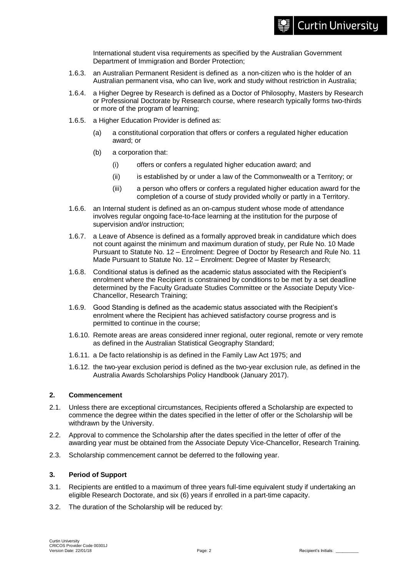International student visa requirements as specified by the Australian Government Department of Immigration and Border Protection;

- 1.6.3. an Australian Permanent Resident is defined as a non-citizen who is the holder of an Australian permanent visa, who can live, work and study without restriction in Australia;
- 1.6.4. a Higher Degree by Research is defined as a Doctor of Philosophy, Masters by Research or Professional Doctorate by Research course, where research typically forms two-thirds or more of the program of learning;
- 1.6.5. a Higher Education Provider is defined as:
	- (a) a constitutional corporation that offers or confers a regulated higher education award; or
	- (b) a corporation that:
		- (i) offers or confers a regulated higher education award; and
		- (ii) is established by or under a law of the Commonwealth or a Territory; or
		- (iii) a person who offers or confers a regulated higher education award for the completion of a course of study provided wholly or partly in a Territory.
- 1.6.6. an Internal student is defined as an on-campus student whose mode of attendance involves regular ongoing face-to-face learning at the institution for the purpose of supervision and/or instruction;
- 1.6.7. a Leave of Absence is defined as a formally approved break in candidature which does not count against the minimum and maximum duration of study, per Rule No. 10 Made Pursuant to Statute No. 12 – Enrolment: Degree of Doctor by Research and Rule No. 11 Made Pursuant to Statute No. 12 – Enrolment: Degree of Master by Research;
- 1.6.8. Conditional status is defined as the academic status associated with the Recipient's enrolment where the Recipient is constrained by conditions to be met by a set deadline determined by the Faculty Graduate Studies Committee or the Associate Deputy Vice-Chancellor, Research Training;
- 1.6.9. Good Standing is defined as the academic status associated with the Recipient's enrolment where the Recipient has achieved satisfactory course progress and is permitted to continue in the course;
- 1.6.10. Remote areas are areas considered inner regional, outer regional, remote or very remote as defined in the Australian Statistical Geography Standard;
- 1.6.11. a De facto relationship is as defined in the Family Law Act 1975; and
- 1.6.12. the two-year exclusion period is defined as the two-year exclusion rule, as defined in the Australia Awards Scholarships Policy Handbook (January 2017).

#### **2. Commencement**

- 2.1. Unless there are exceptional circumstances, Recipients offered a Scholarship are expected to commence the degree within the dates specified in the letter of offer or the Scholarship will be withdrawn by the University.
- 2.2. Approval to commence the Scholarship after the dates specified in the letter of offer of the awarding year must be obtained from the Associate Deputy Vice-Chancellor, Research Training.
- 2.3. Scholarship commencement cannot be deferred to the following year.

#### **3. Period of Support**

- 3.1. Recipients are entitled to a maximum of three years full-time equivalent study if undertaking an eligible Research Doctorate, and six (6) years if enrolled in a part-time capacity.
- 3.2. The duration of the Scholarship will be reduced by: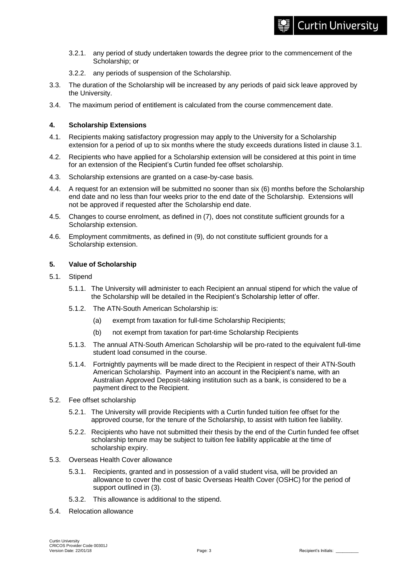- 3.2.1. any period of study undertaken towards the degree prior to the commencement of the Scholarship; or
- 3.2.2. any periods of suspension of the Scholarship.
- 3.3. The duration of the Scholarship will be increased by any periods of paid sick leave approved by the University.
- 3.4. The maximum period of entitlement is calculated from the course commencement date.

#### **4. Scholarship Extensions**

- 4.1. Recipients making satisfactory progression may apply to the University for a Scholarship extension for a period of up to six months where the study exceeds durations listed in clause 3.1.
- 4.2. Recipients who have applied for a Scholarship extension will be considered at this point in time for an extension of the Recipient's Curtin funded fee offset scholarship.
- 4.3. Scholarship extensions are granted on a case-by-case basis.
- 4.4. A request for an extension will be submitted no sooner than six (6) months before the Scholarship end date and no less than four weeks prior to the end date of the Scholarship. Extensions will not be approved if requested after the Scholarship end date.
- 4.5. Changes to course enrolment, as defined in (7), does not constitute sufficient grounds for a Scholarship extension.
- 4.6. Employment commitments, as defined in (9), do not constitute sufficient grounds for a Scholarship extension.

#### **5. Value of Scholarship**

- 5.1. Stipend
	- 5.1.1. The University will administer to each Recipient an annual stipend for which the value of the Scholarship will be detailed in the Recipient's Scholarship letter of offer.
	- 5.1.2. The ATN-South American Scholarship is:
		- (a) exempt from taxation for full-time Scholarship Recipients;
		- (b) not exempt from taxation for part-time Scholarship Recipients
	- 5.1.3. The annual ATN-South American Scholarship will be pro-rated to the equivalent full-time student load consumed in the course.
	- 5.1.4. Fortnightly payments will be made direct to the Recipient in respect of their ATN-South American Scholarship. Payment into an account in the Recipient's name, with an Australian Approved Deposit-taking institution such as a bank, is considered to be a payment direct to the Recipient.
- 5.2. Fee offset scholarship
	- 5.2.1. The University will provide Recipients with a Curtin funded tuition fee offset for the approved course, for the tenure of the Scholarship, to assist with tuition fee liability.
	- 5.2.2. Recipients who have not submitted their thesis by the end of the Curtin funded fee offset scholarship tenure may be subject to tuition fee liability applicable at the time of scholarship expiry.
- 5.3. Overseas Health Cover allowance
	- 5.3.1. Recipients, granted and in possession of a valid student visa, will be provided an allowance to cover the cost of basic Overseas Health Cover (OSHC) for the period of support outlined in (3).
	- 5.3.2. This allowance is additional to the stipend.
- 5.4. Relocation allowance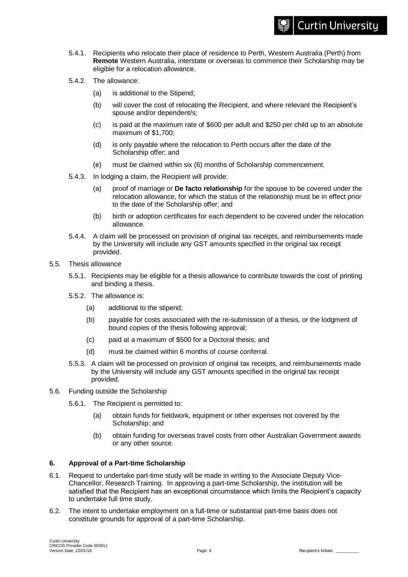- 5.4.1. Recipients who relocate their place of residence to Perth, Western Australia (Perth) from **Remote** Western Australia, interstate or overseas to commence their Scholarship may be eligible for a relocation allowance.
- 5.4.2. The allowance:
	- (a) is additional to the Stipend;
	- (b) will cover the cost of relocating the Recipient, and where relevant the Recipient's spouse and/or dependent/s;
	- (c) is paid at the maximum rate of \$600 per adult and \$250 per child up to an absolute maximum of \$1,700;
	- (d) is only payable where the relocation to Perth occurs after the date of the Scholarship offer; and
	- (e) must be claimed within six (6) months of Scholarship commencement.
- 5.4.3. In lodging a claim, the Recipient will provide:
	- (a) proof of marriage or **De facto relationship** for the spouse to be covered under the relocation allowance, for which the status of the relationship must be in effect prior to the date of the Scholarship offer; and
	- (b) birth or adoption certificates for each dependent to be covered under the relocation allowance.
- 5.4.4. A claim will be processed on provision of original tax receipts, and reimbursements made by the University will include any GST amounts specified in the original tax receipt provided.
- 5.5. Thesis allowance
	- 5.5.1. Recipients may be eligible for a thesis allowance to contribute towards the cost of printing and binding a thesis.
	- 5.5.2. The allowance is:
		- (a) additional to the stipend;
		- (b) payable for costs associated with the re-submission of a thesis, or the lodgment of bound copies of the thesis following approval;
		- (c) paid at a maximum of \$500 for a Doctoral thesis; and
		- (d) must be claimed within 6 months of course conferral.
	- 5.5.3. A claim will be processed on provision of original tax receipts, and reimbursements made by the University will include any GST amounts specified in the original tax receipt provided.
- 5.6. Funding outside the Scholarship
	- 5.6.1. The Recipient is permitted to:
		- (a) obtain funds for fieldwork, equipment or other expenses not covered by the Scholarship; and
		- (b) obtain funding for overseas travel costs from other Australian Government awards or any other source.

#### **6. Approval of a Part-time Scholarship**

- 6.1. Request to undertake part-time study will be made in writing to the Associate Deputy Vice-Chancellor, Research Training. In approving a part-time Scholarship, the institution will be satisfied that the Recipient has an exceptional circumstance which limits the Recipient's capacity to undertake full time study.
- 6.2. The intent to undertake employment on a full-time or substantial part-time basis does not constitute grounds for approval of a part-time Scholarship.

**Curtin University**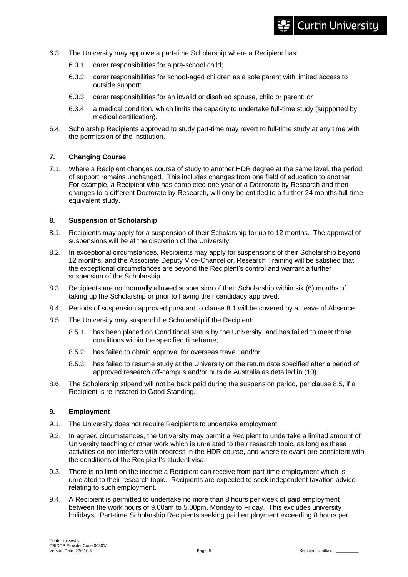- 6.3. The University may approve a part-time Scholarship where a Recipient has:
	- 6.3.1. carer responsibilities for a pre-school child;
	- 6.3.2. carer responsibilities for school-aged children as a sole parent with limited access to outside support;
	- 6.3.3. carer responsibilities for an invalid or disabled spouse, child or parent; or
	- 6.3.4. a medical condition, which limits the capacity to undertake full-time study (supported by medical certification).
- 6.4. Scholarship Recipients approved to study part-time may revert to full-time study at any time with the permission of the institution.

#### **7. Changing Course**

7.1. Where a Recipient changes course of study to another HDR degree at the same level, the period of support remains unchanged. This includes changes from one field of education to another. For example, a Recipient who has completed one year of a Doctorate by Research and then changes to a different Doctorate by Research, will only be entitled to a further 24 months full-time equivalent study.

#### **8. Suspension of Scholarship**

- 8.1. Recipients may apply for a suspension of their Scholarship for up to 12 months. The approval of suspensions will be at the discretion of the University.
- 8.2. In exceptional circumstances, Recipients may apply for suspensions of their Scholarship beyond 12 months, and the Associate Deputy Vice-Chancellor, Research Training will be satisfied that the exceptional circumstances are beyond the Recipient's control and warrant a further suspension of the Scholarship.
- 8.3. Recipients are not normally allowed suspension of their Scholarship within six (6) months of taking up the Scholarship or prior to having their candidacy approved.
- 8.4. Periods of suspension approved pursuant to clause 8.1 will be covered by a Leave of Absence.
- 8.5. The University may suspend the Scholarship if the Recipient:
	- 8.5.1. has been placed on Conditional status by the University, and has failed to meet those conditions within the specified timeframe;
	- 8.5.2. has failed to obtain approval for overseas travel; and/or
	- 8.5.3. has failed to resume study at the University on the return date specified after a period of approved research off-campus and/or outside Australia as detailed in (10).
- 8.6. The Scholarship stipend will not be back paid during the suspension period, per clause 8.5, if a Recipient is re-instated to Good Standing.

#### **9. Employment**

- 9.1. The University does not require Recipients to undertake employment.
- 9.2. In agreed circumstances, the University may permit a Recipient to undertake a limited amount of University teaching or other work which is unrelated to their research topic, as long as these activities do not interfere with progress in the HDR course, and where relevant are consistent with the conditions of the Recipient's student visa.
- 9.3. There is no limit on the income a Recipient can receive from part-time employment which is unrelated to their research topic. Recipients are expected to seek independent taxation advice relating to such employment.
- 9.4. A Recipient is permitted to undertake no more than 8 hours per week of paid employment between the work hours of 9.00am to 5.00pm, Monday to Friday. This excludes university holidays. Part-time Scholarship Recipients seeking paid employment exceeding 8 hours per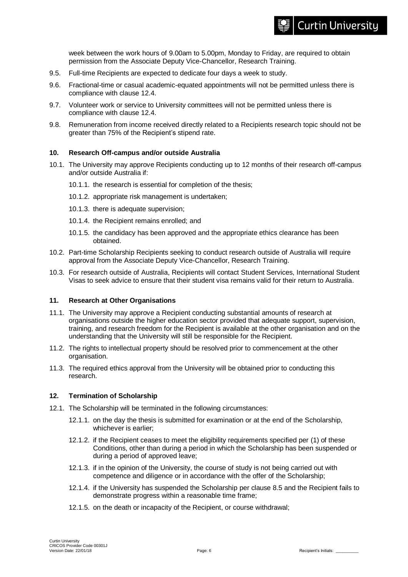week between the work hours of 9.00am to 5.00pm, Monday to Friday, are required to obtain permission from the Associate Deputy Vice-Chancellor, Research Training.

- 9.5. Full-time Recipients are expected to dedicate four days a week to study.
- 9.6. Fractional-time or casual academic-equated appointments will not be permitted unless there is compliance with clause 12.4.
- 9.7. Volunteer work or service to University committees will not be permitted unless there is compliance with clause 12.4.
- 9.8. Remuneration from income received directly related to a Recipients research topic should not be greater than 75% of the Recipient's stipend rate.

#### **10. Research Off-campus and/or outside Australia**

- 10.1. The University may approve Recipients conducting up to 12 months of their research off-campus and/or outside Australia if:
	- 10.1.1. the research is essential for completion of the thesis;
	- 10.1.2. appropriate risk management is undertaken;
	- 10.1.3. there is adequate supervision;
	- 10.1.4. the Recipient remains enrolled; and
	- 10.1.5. the candidacy has been approved and the appropriate ethics clearance has been obtained.
- 10.2. Part-time Scholarship Recipients seeking to conduct research outside of Australia will require approval from the Associate Deputy Vice-Chancellor, Research Training.
- 10.3. For research outside of Australia, Recipients will contact Student Services, International Student Visas to seek advice to ensure that their student visa remains valid for their return to Australia.

#### **11. Research at Other Organisations**

- 11.1. The University may approve a Recipient conducting substantial amounts of research at organisations outside the higher education sector provided that adequate support, supervision, training, and research freedom for the Recipient is available at the other organisation and on the understanding that the University will still be responsible for the Recipient.
- 11.2. The rights to intellectual property should be resolved prior to commencement at the other organisation.
- 11.3. The required ethics approval from the University will be obtained prior to conducting this research.

#### **12. Termination of Scholarship**

- 12.1. The Scholarship will be terminated in the following circumstances:
	- 12.1.1. on the day the thesis is submitted for examination or at the end of the Scholarship, whichever is earlier;
	- 12.1.2. if the Recipient ceases to meet the eligibility requirements specified per (1) of these Conditions, other than during a period in which the Scholarship has been suspended or during a period of approved leave;
	- 12.1.3. if in the opinion of the University, the course of study is not being carried out with competence and diligence or in accordance with the offer of the Scholarship;
	- 12.1.4. if the University has suspended the Scholarship per clause 8.5 and the Recipient fails to demonstrate progress within a reasonable time frame;
	- 12.1.5. on the death or incapacity of the Recipient, or course withdrawal;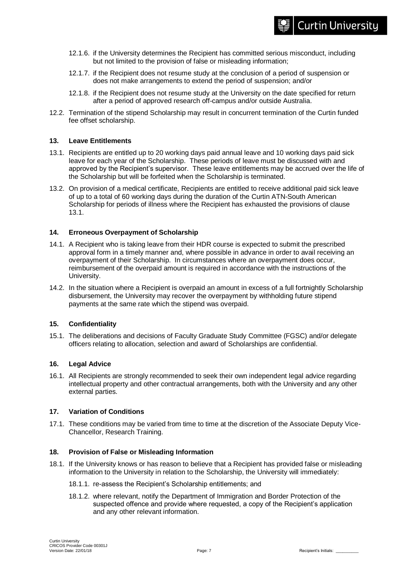- 12.1.6. if the University determines the Recipient has committed serious misconduct, including but not limited to the provision of false or misleading information;
- 12.1.7. if the Recipient does not resume study at the conclusion of a period of suspension or does not make arrangements to extend the period of suspension; and/or
- 12.1.8. if the Recipient does not resume study at the University on the date specified for return after a period of approved research off-campus and/or outside Australia.
- 12.2. Termination of the stipend Scholarship may result in concurrent termination of the Curtin funded fee offset scholarship.

#### **13. Leave Entitlements**

- 13.1. Recipients are entitled up to 20 working days paid annual leave and 10 working days paid sick leave for each year of the Scholarship. These periods of leave must be discussed with and approved by the Recipient's supervisor. These leave entitlements may be accrued over the life of the Scholarship but will be forfeited when the Scholarship is terminated.
- 13.2. On provision of a medical certificate, Recipients are entitled to receive additional paid sick leave of up to a total of 60 working days during the duration of the Curtin ATN-South American Scholarship for periods of illness where the Recipient has exhausted the provisions of clause 13.1.

#### **14. Erroneous Overpayment of Scholarship**

- 14.1. A Recipient who is taking leave from their HDR course is expected to submit the prescribed approval form in a timely manner and, where possible in advance in order to avail receiving an overpayment of their Scholarship. In circumstances where an overpayment does occur, reimbursement of the overpaid amount is required in accordance with the instructions of the University.
- 14.2. In the situation where a Recipient is overpaid an amount in excess of a full fortnightly Scholarship disbursement, the University may recover the overpayment by withholding future stipend payments at the same rate which the stipend was overpaid.

#### **15. Confidentiality**

15.1. The deliberations and decisions of Faculty Graduate Study Committee (FGSC) and/or delegate officers relating to allocation, selection and award of Scholarships are confidential.

#### **16. Legal Advice**

16.1. All Recipients are strongly recommended to seek their own independent legal advice regarding intellectual property and other contractual arrangements, both with the University and any other external parties.

#### **17. Variation of Conditions**

17.1. These conditions may be varied from time to time at the discretion of the Associate Deputy Vice-Chancellor, Research Training.

#### **18. Provision of False or Misleading Information**

- 18.1. If the University knows or has reason to believe that a Recipient has provided false or misleading information to the University in relation to the Scholarship, the University will immediately:
	- 18.1.1. re-assess the Recipient's Scholarship entitlements; and
	- 18.1.2. where relevant, notify the Department of Immigration and Border Protection of the suspected offence and provide where requested, a copy of the Recipient's application and any other relevant information.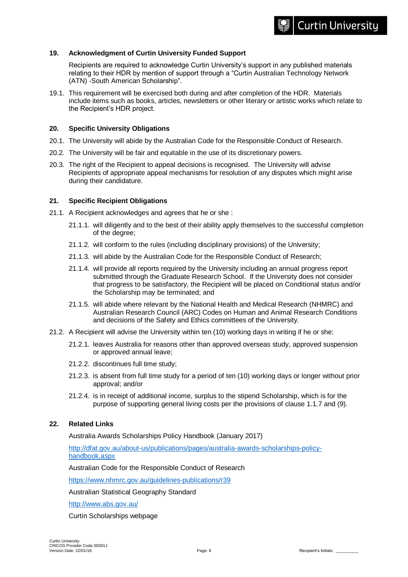#### **19. Acknowledgment of Curtin University Funded Support**

Recipients are required to acknowledge Curtin University's support in any published materials relating to their HDR by mention of support through a "Curtin Australian Technology Network (ATN) -South American Scholarship".

19.1. This requirement will be exercised both during and after completion of the HDR. Materials include items such as books, articles, newsletters or other literary or artistic works which relate to the Recipient's HDR project.

#### **20. Specific University Obligations**

- 20.1. The University will abide by the Australian Code for the Responsible Conduct of Research.
- 20.2. The University will be fair and equitable in the use of its discretionary powers.
- 20.3. The right of the Recipient to appeal decisions is recognised. The University will advise Recipients of appropriate appeal mechanisms for resolution of any disputes which might arise during their candidature.

#### **21. Specific Recipient Obligations**

- 21.1. A Recipient acknowledges and agrees that he or she :
	- 21.1.1. will diligently and to the best of their ability apply themselves to the successful completion of the degree;
	- 21.1.2. will conform to the rules (including disciplinary provisions) of the University;
	- 21.1.3. will abide by the Australian Code for the Responsible Conduct of Research;
	- 21.1.4. will provide all reports required by the University including an annual progress report submitted through the Graduate Research School. If the University does not consider that progress to be satisfactory, the Recipient will be placed on Conditional status and/or the Scholarship may be terminated; and
	- 21.1.5. will abide where relevant by the National Health and Medical Research (NHMRC) and Australian Research Council (ARC) Codes on Human and Animal Research Conditions and decisions of the Safety and Ethics committees of the University.
- 21.2. A Recipient will advise the University within ten (10) working days in writing if he or she:
	- 21.2.1. leaves Australia for reasons other than approved overseas study, approved suspension or approved annual leave;
	- 21.2.2. discontinues full time study;
	- 21.2.3. is absent from full time study for a period of ten (10) working days or longer without prior approval; and/or
	- 21.2.4. is in receipt of additional income, surplus to the stipend Scholarship, which is for the purpose of supporting general living costs per the provisions of clause 1.1.7 and (9).

#### **22. Related Links**

Australia Awards Scholarships Policy Handbook (January 2017)

[http://dfat.gov.au/about-us/publications/pages/australia-awards-scholarships-policy](http://dfat.gov.au/about-us/publications/pages/australia-awards-scholarships-policy-handbook.aspx)[handbook.aspx](http://dfat.gov.au/about-us/publications/pages/australia-awards-scholarships-policy-handbook.aspx)

Australian Code for the Responsible Conduct of Research

<https://www.nhmrc.gov.au/guidelines-publications/r39>

Australian Statistical Geography Standard

<http://www.abs.gov.au/>

Curtin Scholarships webpage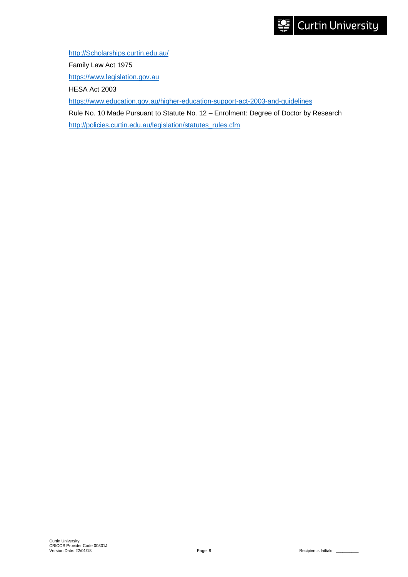[http://Scholarships.curtin.edu.au/](http://scholarships.curtin.edu.au/) Family Law Act 1975 [https://www.legislation.gov.au](https://www.legislation.gov.au/) HESA Act 2003 <https://www.education.gov.au/higher-education-support-act-2003-and-guidelines> Rule No. 10 Made Pursuant to Statute No. 12 – Enrolment: Degree of Doctor by Research [http://policies.curtin.edu.au/legislation/statutes\\_rules.cfm](http://policies.curtin.edu.au/legislation/statutes_rules.cfm)

Curtin University<br>CRICOS Provider Code 00301J<br>Version Date: 22/01/18 Page: 9 Recipient's Initials: